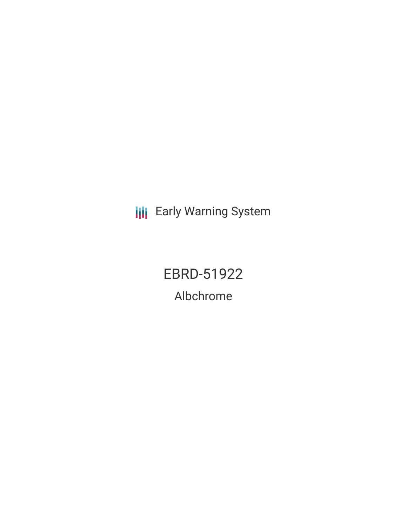**III** Early Warning System

EBRD-51922 Albchrome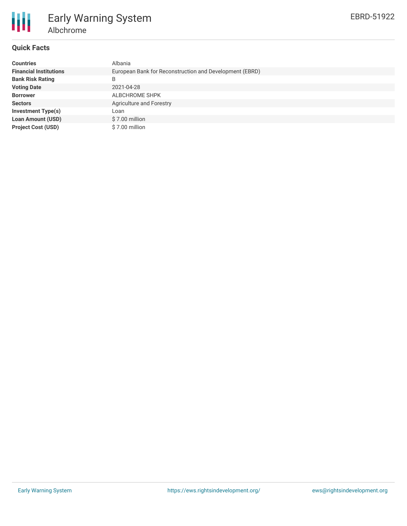

# Early Warning System Albchrome

## **Quick Facts**

| <b>Countries</b>              | Albania                                                 |
|-------------------------------|---------------------------------------------------------|
| <b>Financial Institutions</b> | European Bank for Reconstruction and Development (EBRD) |
| <b>Bank Risk Rating</b>       | B                                                       |
| <b>Voting Date</b>            | 2021-04-28                                              |
| <b>Borrower</b>               | ALBCHROME SHPK                                          |
| <b>Sectors</b>                | Agriculture and Forestry                                |
| <b>Investment Type(s)</b>     | Loan                                                    |
| <b>Loan Amount (USD)</b>      | \$7.00 million                                          |
| <b>Project Cost (USD)</b>     | \$7.00 million                                          |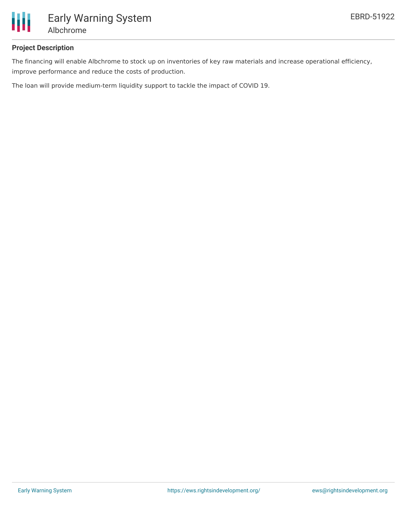

# **Project Description**

The financing will enable Albchrome to stock up on inventories of key raw materials and increase operational efficiency, improve performance and reduce the costs of production.

The loan will provide medium-term liquidity support to tackle the impact of COVID 19.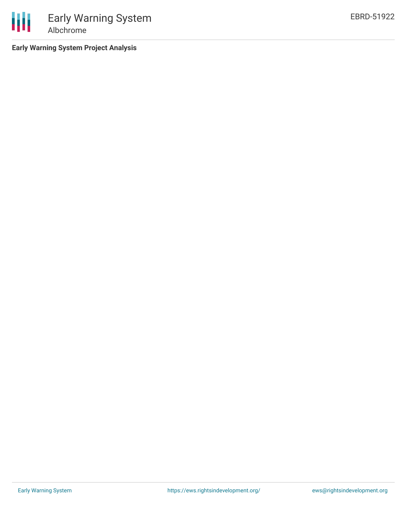

**Early Warning System Project Analysis**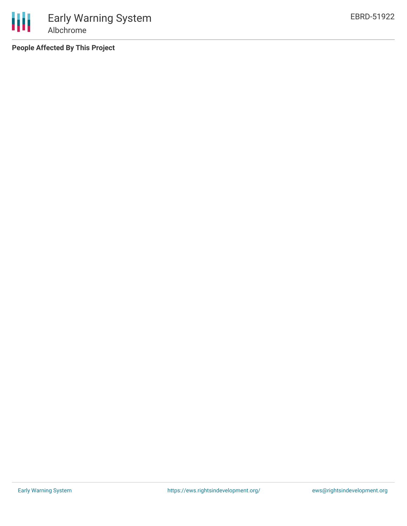**People Affected By This Project**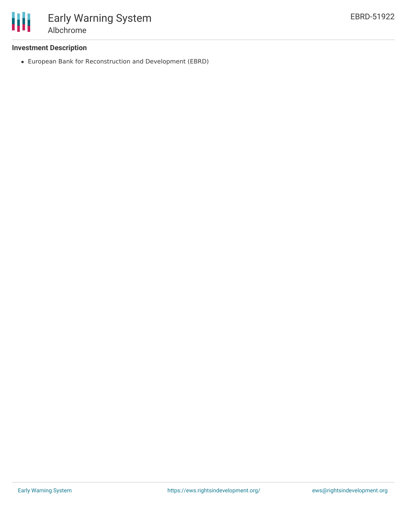

#### **Investment Description**

European Bank for Reconstruction and Development (EBRD)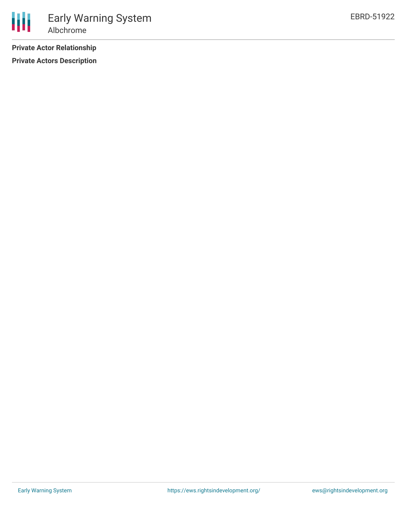**Private Actor Relationship**

**Private Actors Description**